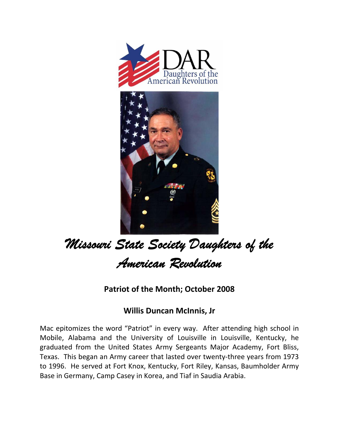



## *Missouri State Society Daughters of the American Revolution*

**Patriot of the Month; October 2008**

## **Willis Duncan McInnis, Jr**

Mac epitomizes the word "Patriot" in every way. After attending high school in Mobile, Alabama and the University of Louisville in Louisville, Kentucky, he graduated from the United States Army Sergeants Major Academy, Fort Bliss, Texas. This began an Army career that lasted over twenty-three years from 1973 to 1996. He served at Fort Knox, Kentucky, Fort Riley, Kansas, Baumholder Army Base in Germany, Camp Casey in Korea, and Tiaf in Saudia Arabia.